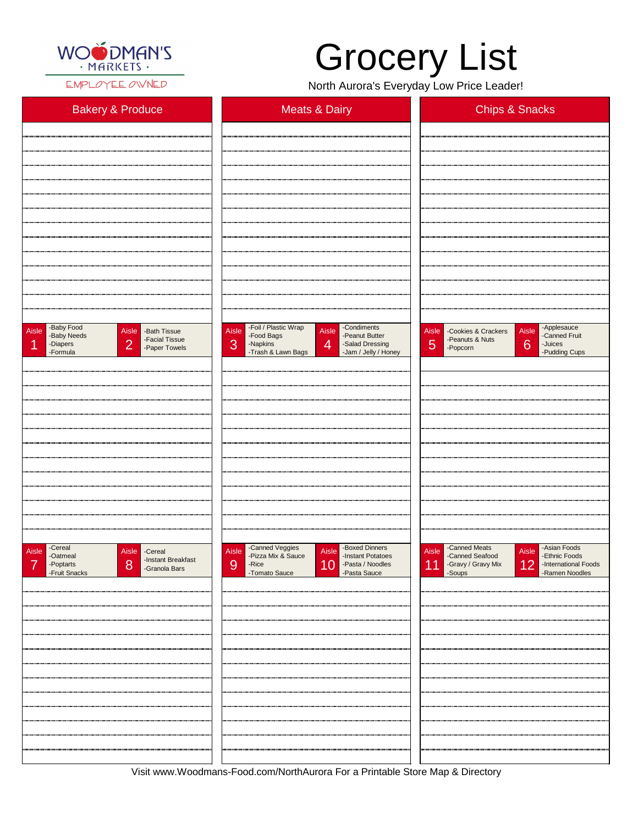

EMPLOYEE OWNED

| <b>Bakery &amp; Produce</b>                                                                                                                 | <b>Meats &amp; Dairy</b>                                                                                                                                                                  | <b>Chips &amp; Snacks</b>                                                                                                                  |
|---------------------------------------------------------------------------------------------------------------------------------------------|-------------------------------------------------------------------------------------------------------------------------------------------------------------------------------------------|--------------------------------------------------------------------------------------------------------------------------------------------|
|                                                                                                                                             |                                                                                                                                                                                           |                                                                                                                                            |
|                                                                                                                                             |                                                                                                                                                                                           |                                                                                                                                            |
|                                                                                                                                             |                                                                                                                                                                                           |                                                                                                                                            |
|                                                                                                                                             |                                                                                                                                                                                           |                                                                                                                                            |
|                                                                                                                                             |                                                                                                                                                                                           |                                                                                                                                            |
|                                                                                                                                             |                                                                                                                                                                                           |                                                                                                                                            |
|                                                                                                                                             |                                                                                                                                                                                           |                                                                                                                                            |
|                                                                                                                                             |                                                                                                                                                                                           |                                                                                                                                            |
|                                                                                                                                             |                                                                                                                                                                                           |                                                                                                                                            |
|                                                                                                                                             |                                                                                                                                                                                           |                                                                                                                                            |
|                                                                                                                                             |                                                                                                                                                                                           |                                                                                                                                            |
| -Baby Food<br>Aisle<br>Aisle - Bath Tissue<br>-Baby Needs<br>-Facial Tissue<br>$\overline{2}$<br>-Diapers<br>И<br>-Paper Towels<br>-Formula | -Foil / Plastic Wrap<br>-Condiments<br>Aisle<br>Aisle<br>-Peanut Butter<br>-Food Bags<br>3<br>$\overline{4}$<br>-Napkins<br>-Salad Dressing<br>-Trash & Lawn Bags<br>-Jam / Jelly / Honey | -Applesauce<br>Aisle<br>Aisle<br>-Cookies & Crackers<br>-Canned Fruit<br>-Peanuts & Nuts<br>5<br>6<br>-Juices<br>-Popcorn<br>-Pudding Cups |
|                                                                                                                                             |                                                                                                                                                                                           |                                                                                                                                            |
|                                                                                                                                             |                                                                                                                                                                                           |                                                                                                                                            |
|                                                                                                                                             |                                                                                                                                                                                           |                                                                                                                                            |
|                                                                                                                                             |                                                                                                                                                                                           |                                                                                                                                            |
|                                                                                                                                             |                                                                                                                                                                                           |                                                                                                                                            |
|                                                                                                                                             |                                                                                                                                                                                           |                                                                                                                                            |
|                                                                                                                                             |                                                                                                                                                                                           |                                                                                                                                            |
|                                                                                                                                             |                                                                                                                                                                                           |                                                                                                                                            |
|                                                                                                                                             |                                                                                                                                                                                           |                                                                                                                                            |
|                                                                                                                                             |                                                                                                                                                                                           |                                                                                                                                            |
| -Cereal<br>Aisle<br>Aisle -Cereal<br>-Oatmeal<br>I -Instant Breakfast                                                                       | -Canned Veggies<br>-Pizza Mix & Sauce<br>-Boxed Dinners<br>Aisle<br>Aisle<br>-Instant Potatoes                                                                                            | -Canned Meats<br>-Asian Foods<br><b>Aisle</b><br>Aisle<br>-Canned Seafood<br>-Ethnic Foods                                                 |

| -instant Breaklast<br>8<br>-Poptarts<br>-Fruit Snacks<br>-Granola Bars | -Pasta / Noodles<br>-Pasta Sauce<br>10<br><b>9</b><br>-Rice<br>-Tomato Sauce | -Gravy / Gravy Mix<br>-Soups<br>$\boxed{12}$<br>-International Foods<br>-Ramen Noodles<br>11 |
|------------------------------------------------------------------------|------------------------------------------------------------------------------|----------------------------------------------------------------------------------------------|
|                                                                        |                                                                              |                                                                                              |
|                                                                        |                                                                              |                                                                                              |
|                                                                        |                                                                              |                                                                                              |
|                                                                        |                                                                              |                                                                                              |
|                                                                        |                                                                              |                                                                                              |
|                                                                        |                                                                              |                                                                                              |
|                                                                        |                                                                              |                                                                                              |
|                                                                        |                                                                              |                                                                                              |
|                                                                        |                                                                              |                                                                                              |
|                                                                        |                                                                              |                                                                                              |

Visit www.Woodmans-Food.com/NorthAurora For a Printable Store Map & Directory

## Grocery List

North Aurora's Everyday Low Price Leader!